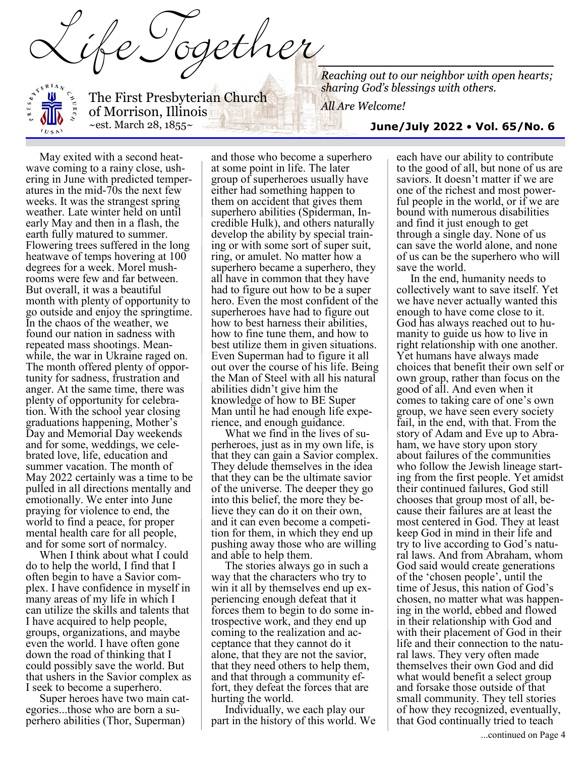The First Presbyterian Church of Morrison, Illinois  $\sim$ est. March 28, 1855 $\sim$ 

 $\mathcal{H}$ 

All Are Welcome!

#### **June/July 2022** • **Vol. 65/No. 6**

May exited with a second heatwave coming to a rainy close, ushering in June with predicted temperatures in the mid-70s the next few weeks. It was the strangest spring weather. Late winter held on until early May and then in a flash, the earth fully matured to summer. Flowering trees suffered in the long heatwave of temps hovering at 100 degrees for a week. Morel mushrooms were few and far between. But overall, it was a beautiful month with plenty of opportunity to go outside and enjoy the springtime. In the chaos of the weather, we found our nation in sadness with repeated mass shootings. Meanwhile, the war in Ukraine raged on. The month offered plenty of opportunity for sadness, frustration and anger. At the same time, there was plenty of opportunity for celebration. With the school year closing graduations happening, Mother's Day and Memorial Day weekends and for some, weddings, we celebrated love, life, education and summer vacation. The month of May 2022 certainly was a time to be pulled in all directions mentally and emotionally. We enter into June praying for violence to end, the world to find a peace, for proper mental health care for all people, and for some sort of normalcy.

When I think about what I could do to help the world, I find that I often begin to have a Savior complex. I have confidence in myself in many areas of my life in which I can utilize the skills and talents that I have acquired to help people, groups, organizations, and maybe even the world. I have often gone down the road of thinking that I could possibly save the world. But that ushers in the Savior complex as I seek to become a superhero.

Super heroes have two main categories...those who are born a superhero abilities (Thor, Superman)

and those who become a superhero at some point in life. The later group of superheroes usually have either had something happen to them on accident that gives them superhero abilities (Spiderman, Incredible Hulk), and others naturally develop the ability by special training or with some sort of super suit, ring, or amulet. No matter how a superhero became a superhero, they all have in common that they have had to figure out how to be a super hero. Even the most confident of the superheroes have had to figure out how to best harness their abilities, how to fine tune them, and how to best utilize them in given situations. Even Superman had to figure it all out over the course of his life. Being the Man of Steel with all his natural abilities didn't give him the knowledge of how to BE Super Man until he had enough life experience, and enough guidance.

What we find in the lives of superheroes, just as in my own life, is that they can gain a Savior complex. They delude themselves in the idea that they can be the ultimate savior of the universe. The deeper they go into this belief, the more they believe they can do it on their own, and it can even become a competition for them, in which they end up pushing away those who are willing and able to help them.

The stories always go in such a way that the characters who try to win it all by themselves end up experiencing enough defeat that it forces them to begin to do some introspective work, and they end up coming to the realization and acceptance that they cannot do it alone, that they are not the savior, that they need others to help them, and that through a community effort, they defeat the forces that are hurting the world.

Individually, we each play our part in the history of this world. We

each have our ability to contribute to the good of all, but none of us are saviors. It doesn't matter if we are one of the richest and most powerful people in the world, or if we are bound with numerous disabilities and find it just enough to get through a single day. None of us can save the world alone, and none of us can be the superhero who will save the world.

In the end, humanity needs to collectively want to save itself. Yet we have never actually wanted this enough to have come close to it. God has always reached out to humanity to guide us how to live in right relationship with one another. Yet humans have always made choices that benefit their own self or own group, rather than focus on the good of all. And even when it comes to taking care of one's own group, we have seen every society fail, in the end, with that. From the story of Adam and Eve up to Abraham, we have story upon story about failures of the communities who follow the Jewish lineage starting from the first people. Yet amidst their continued failures, God still chooses that group most of all, because their failures are at least the most centered in God. They at least keep God in mind in their life and try to live according to God's natural laws. And from Abraham, whom God said would create generations of the 'chosen people', until the time of Jesus, this nation of God's chosen, no matter what was happening in the world, ebbed and flowed in their relationship with God and with their placement of God in their life and their connection to the natural laws. They very often made themselves their own God and did what would benefit a select group and forsake those outside of that small community. They tell stories of how they recognized, eventually, that God continually tried to teach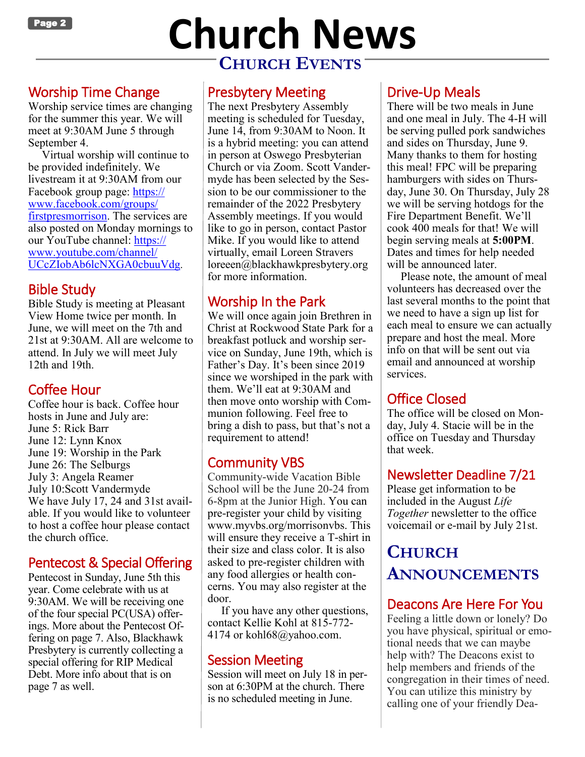

# **Page 2** Church News **CHURCH EVENTS**

#### Worship Time Change

Worship service times are changing for the summer this year. We will meet at 9:30AM June 5 through September 4.

Virtual worship will continue to be provided indefinitely. We livestream it at 9:30AM from our Facebook group page: [https://](https://www.facebook.com/groups/firstpresmorrison) [www.facebook.com/groups/](https://www.facebook.com/groups/firstpresmorrison) [firstpresmorrison.](https://www.facebook.com/groups/firstpresmorrison) The services are also posted on Monday mornings to our YouTube channel: [https://](https://www.youtube.com/channel/UCcZIobAb6lcNXGA0cbuuVdg) [www.youtube.com/channel/](https://www.youtube.com/channel/UCcZIobAb6lcNXGA0cbuuVdg) [UCcZIobAb6lcNXGA0cbuuVdg](https://www.youtube.com/channel/UCcZIobAb6lcNXGA0cbuuVdg).

#### Bible Study

Bible Study is meeting at Pleasant View Home twice per month. In June, we will meet on the 7th and 21st at 9:30AM. All are welcome to attend. In July we will meet July 12th and 19th.

#### Coffee Hour

Coffee hour is back. Coffee hour hosts in June and July are: June 5: Rick Barr June 12: Lynn Knox June 19: Worship in the Park June 26: The Selburgs July 3: Angela Reamer July 10:Scott Vandermyde We have July 17, 24 and 31st available. If you would like to volunteer to host a coffee hour please contact the church office.

#### Pentecost & Special Offering

Pentecost in Sunday, June 5th this year. Come celebrate with us at 9:30AM. We will be receiving one of the four special PC(USA) offerings. More about the Pentecost Offering on page 7. Also, Blackhawk Presbytery is currently collecting a special offering for RIP Medical Debt. More info about that is on page 7 as well.

#### Presbytery Meeting

The next Presbytery Assembly meeting is scheduled for Tuesday, June 14, from 9:30AM to Noon. It is a hybrid meeting: you can attend in person at Oswego Presbyterian Church or via Zoom. Scott Vandermyde has been selected by the Session to be our commissioner to the remainder of the 2022 Presbytery Assembly meetings. If you would like to go in person, contact Pastor Mike. If you would like to attend virtually, email Loreen Stravers loreeen@blackhawkpresbytery.org for more information.

#### Worship In the Park

We will once again join Brethren in Christ at Rockwood State Park for a breakfast potluck and worship service on Sunday, June 19th, which is Father's Day. It's been since 2019 since we worshiped in the park with them. We'll eat at 9:30AM and then move onto worship with Communion following. Feel free to bring a dish to pass, but that's not a requirement to attend!

#### Community VBS

Community-wide Vacation Bible School will be the June 20-24 from 6-8pm at the Junior High. You can pre-register your child by visiting www.myvbs.org/morrisonvbs. This will ensure they receive a T-shirt in their size and class color. It is also asked to pre-register children with any food allergies or health concerns. You may also register at the door.

If you have any other questions, contact Kellie Kohl at 815-772- 4174 or kohl68@yahoo.com.

#### Session Meeting

Session will meet on July 18 in person at 6:30PM at the church. There is no scheduled meeting in June.

#### Drive-Up Meals

There will be two meals in June and one meal in July. The 4-H will be serving pulled pork sandwiches and sides on Thursday, June 9. Many thanks to them for hosting this meal! FPC will be preparing hamburgers with sides on Thursday, June 30. On Thursday, July 28 we will be serving hotdogs for the Fire Department Benefit. We'll cook 400 meals for that! We will begin serving meals at **5:00PM**. Dates and times for help needed will be announced later.

Please note, the amount of meal volunteers has decreased over the last several months to the point that we need to have a sign up list for each meal to ensure we can actually prepare and host the meal. More info on that will be sent out via email and announced at worship services.

#### Office Closed

The office will be closed on Monday, July 4. Stacie will be in the office on Tuesday and Thursday that week.

#### Newsletter Deadline 7/21

Please get information to be included in the August *Life Together* newsletter to the office voicemail or e-mail by July 21st.

#### **CHURCH ANNOUNCEMENTS**

#### Deacons Are Here For You

Feeling a little down or lonely? Do you have physical, spiritual or emotional needs that we can maybe help with? The Deacons exist to help members and friends of the congregation in their times of need. You can utilize this ministry by calling one of your friendly Dea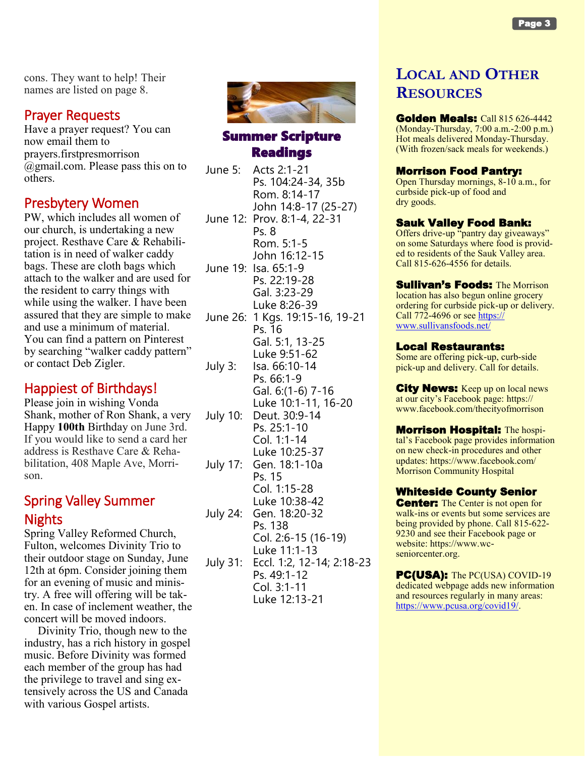cons. They want to help! Their names are listed on page 8.

#### Prayer Requests

Have a prayer request? You can now email them to prayers.firstpresmorrison @gmail.com. Please pass this on to others.

#### Presbytery Women

PW, which includes all women of our church, is undertaking a new project. Resthave Care & Rehabilitation is in need of walker caddy bags. These are cloth bags which attach to the walker and are used for the resident to carry things with while using the walker. I have been assured that they are simple to make and use a minimum of material. You can find a pattern on Pinterest by searching "walker caddy pattern" or contact Deb Zigler.

#### Happiest of Birthdays!

Please join in wishing Vonda Shank, mother of Ron Shank, a very Happy **100th** Birthday on June 3rd. If you would like to send a card her address is Resthave Care & Rehabilitation, 408 Maple Ave, Morrison.

#### Spring Valley Summer Nights

Spring Valley Reformed Church, Fulton, welcomes Divinity Trio to their outdoor stage on Sunday, June 12th at 6pm. Consider joining them for an evening of music and ministry. A free will offering will be taken. In case of inclement weather, the concert will be moved indoors.

Divinity Trio, though new to the industry, has a rich history in gospel music. Before Divinity was formed each member of the group has had the privilege to travel and sing extensively across the US and Canada with various Gospel artists.



#### Summer Scripture Readings

June 5: Acts 2:1-21 Ps. 104:24-34, 35b Rom. 8:14-17 John 14:8-17 (25-27) June 12: Prov. 8:1-4, 22-31 Ps. 8 Rom. 5:1-5 John 16:12-15 June 19: Isa. 65:1-9 Ps. 22:19-28 Gal. 3:23-29 Luke 8:26-39 June 26: 1 Kgs. 19:15-16, 19-21 Ps. 16 Gal. 5:1, 13-25 Luke 9:51-62 July 3: Isa. 66:10-14 Ps. 66:1-9 Gal. 6:(1-6) 7-16 Luke 10:1-11, 16-20 July 10: Deut. 30:9-14 Ps. 25:1-10 Col. 1:1-14 Luke 10:25-37 July 17: Gen. 18:1-10a Ps. 15 Col. 1:15-28 Luke 10:38-42 July 24: Gen. 18:20-32 Ps. 138 Col. 2:6-15 (16-19) Luke 11:1-13 July 31: Eccl. 1:2, 12-14; 2:18-23 Ps. 49:1-12 Col. 3:1-11 Luke 12:13-21

#### **LOCAL AND OTHER RESOURCES**

**Golden Meals: Call 815 626-4442** (Monday-Thursday, 7:00 a.m.-2:00 p.m.) Hot meals delivered Monday-Thursday. (With frozen/sack meals for weekends.)

#### Morrison Food Pantry:

Open Thursday mornings, 8-10 a.m., for curbside pick-up of food and dry goods.

#### Sauk Valley Food Bank:

Offers drive-up "pantry day giveaways" on some Saturdays where food is provided to residents of the Sauk Valley area. Call 815-626-4556 for details.

**Sullivan's Foods: The Morrison** location has also begun online grocery ordering for curbside pick-up or delivery. Call 772-4696 or see [https://](https://www.sullivansfoods.net/) [www.sullivansfoods.net/](https://www.sullivansfoods.net/)

#### Local Restaurants:

Some are offering pick-up, curb-side pick-up and delivery. Call for details.

**City News:** Keep up on local news at our city's Facebook page: https:// www.facebook.com/thecityofmorrison

Morrison Hospital: The hospital's Facebook page provides information on new check-in procedures and other updates: https://www.facebook.com/ Morrison Community Hospital

#### Whiteside County Senior

**Center:** The Center is not open for walk-ins or events but some services are being provided by phone. Call 815-622- 9230 and see their Facebook page or website: https://www.wcseniorcenter.org.

**PC(USA):** The PC(USA) COVID-19 dedicated webpage adds new information and resources regularly in many areas: [https://www.pcusa.org/covid19/.](https://www.pcusa.org/covid19/)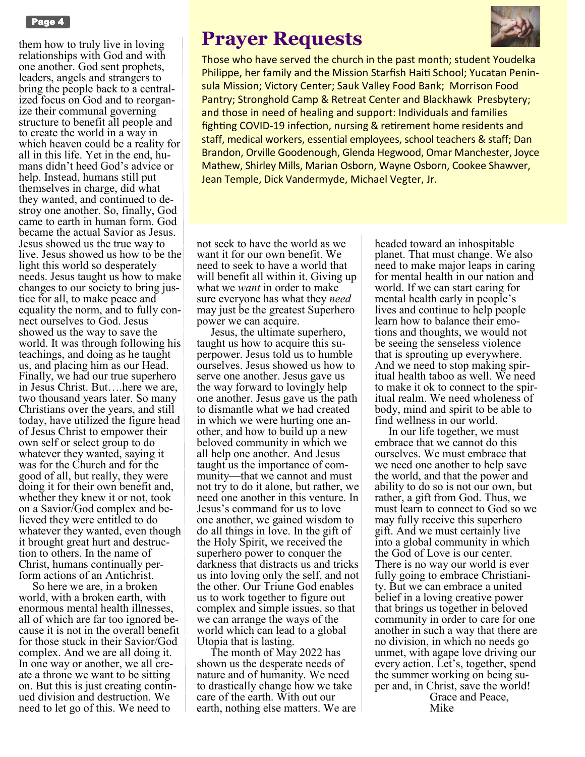

them how to truly live in loving relationships with God and with one another. God sent prophets, leaders, angels and strangers to bring the people back to a centralized focus on God and to reorganize their communal governing structure to benefit all people and to create the world in a way in which heaven could be a reality for all in this life. Yet in the end, humans didn't heed God's advice or help. Instead, humans still put themselves in charge, did what they wanted, and continued to destroy one another. So, finally, God came to earth in human form. God became the actual Savior as Jesus. Jesus showed us the true way to live. Jesus showed us how to be the light this world so desperately needs. Jesus taught us how to make changes to our society to bring justice for all, to make peace and equality the norm, and to fully connect ourselves to God. Jesus showed us the way to save the world. It was through following his teachings, and doing as he taught us, and placing him as our Head. Finally, we had our true superhero in Jesus Christ. But….here we are, two thousand years later. So many Christians over the years, and still today, have utilized the figure head of Jesus Christ to empower their own self or select group to do whatever they wanted, saying it was for the Church and for the good of all, but really, they were doing it for their own benefit and, whether they knew it or not, took on a Savior/God complex and believed they were entitled to do whatever they wanted, even though it brought great hurt and destruction to others. In the name of Christ, humans continually perform actions of an Antichrist.

So here we are, in a broken world, with a broken earth, with enormous mental health illnesses, all of which are far too ignored because it is not in the overall benefit for those stuck in their Savior/God complex. And we are all doing it. In one way or another, we all create a throne we want to be sitting on. But this is just creating continued division and destruction. We need to let go of this. We need to

#### **Prayer Requests**



Those who have served the church in the past month; student Youdelka Philippe, her family and the Mission Starfish Haiti School; Yucatan Peninsula Mission; Victory Center; Sauk Valley Food Bank; Morrison Food Pantry; Stronghold Camp & Retreat Center and Blackhawk Presbytery; and those in need of healing and support: Individuals and families fighting COVID-19 infection, nursing & retirement home residents and staff, medical workers, essential employees, school teachers & staff; Dan Brandon, Orville Goodenough, Glenda Hegwood, Omar Manchester, Joyce Mathew, Shirley Mills, Marian Osborn, Wayne Osborn, Cookee Shawver, Jean Temple, Dick Vandermyde, Michael Vegter, Jr.

not seek to have the world as we want it for our own benefit. We need to seek to have a world that will benefit all within it. Giving up what we *want* in order to make sure everyone has what they *need*  may just be the greatest Superhero power we can acquire.

Jesus, the ultimate superhero, taught us how to acquire this superpower. Jesus told us to humble ourselves. Jesus showed us how to serve one another. Jesus gave us the way forward to lovingly help one another. Jesus gave us the path to dismantle what we had created in which we were hurting one another, and how to build up a new beloved community in which we all help one another. And Jesus taught us the importance of community—that we cannot and must not try to do it alone, but rather, we need one another in this venture. In Jesus's command for us to love one another, we gained wisdom to do all things in love. In the gift of the Holy Spirit, we received the superhero power to conquer the darkness that distracts us and tricks us into loving only the self, and not the other. Our Triune God enables us to work together to figure out complex and simple issues, so that we can arrange the ways of the world which can lead to a global Utopia that is lasting.

The month of May 2022 has shown us the desperate needs of nature and of humanity. We need to drastically change how we take care of the earth. With out our earth, nothing else matters. We are headed toward an inhospitable planet. That must change. We also need to make major leaps in caring for mental health in our nation and world. If we can start caring for mental health early in people's lives and continue to help people learn how to balance their emotions and thoughts, we would not be seeing the senseless violence that is sprouting up everywhere. And we need to stop making spiritual health taboo as well. We need to make it ok to connect to the spiritual realm. We need wholeness of body, mind and spirit to be able to find wellness in our world.

In our life together, we must embrace that we cannot do this ourselves. We must embrace that we need one another to help save the world, and that the power and ability to do so is not our own, but rather, a gift from God. Thus, we must learn to connect to God so we may fully receive this superhero gift. And we must certainly live into a global community in which the God of Love is our center. There is no way our world is ever fully going to embrace Christianity. But we can embrace a united belief in a loving creative power that brings us together in beloved community in order to care for one another in such a way that there are no division, in which no needs go unmet, with agape love driving our every action. Let's, together, spend the summer working on being super and, in Christ, save the world! Grace and Peace,

Mike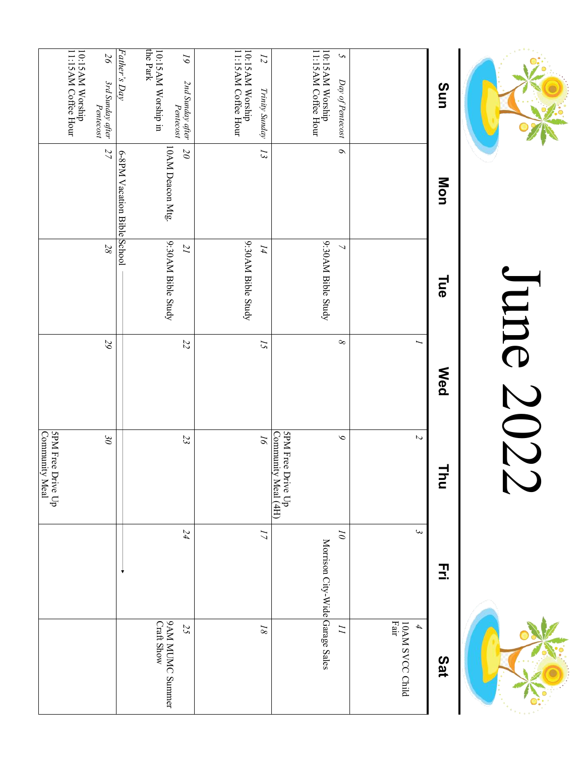

# June 2022 June 2022



| Sun                                      | Mon                         | Пае                 | <b>Med</b>     | ⋣<br>$\vec{c}$                           | 고                               | Sat                                                 |
|------------------------------------------|-----------------------------|---------------------|----------------|------------------------------------------|---------------------------------|-----------------------------------------------------|
|                                          |                             |                     |                | $\overline{c}$                           | $\epsilon$                      | 10AM SVCC Child<br>Fair<br>$\overline{\mathcal{A}}$ |
| $\mathcal{C}$<br>$Day$ of Pentecost      | $\circ$                     | $\overline{ }$      | $\infty$       | $\circ$                                  | $\tilde{\omega}$                | $\overline{L}$                                      |
| 10:15 AM Worship<br>11:15 AM Coffee Hour |                             | 9:30 AM Bible Study |                |                                          | Morrison City-Wide Garage Sales |                                                     |
|                                          |                             |                     |                | SPM Free Drive Up<br>Community Meal (4H) |                                 |                                                     |
| $\overline{z}$<br>Trinity Sunday         | 13                          | I4                  | $\overline{c}$ | $\overline{\rho}$                        | $\overline{L}$                  | $\sqrt{8}$                                          |
| 10:15 AM Worship<br>11:15 AM Coffee Hour |                             | 9:30 AM Bible Study |                |                                          |                                 |                                                     |
| 19<br>2nd Sunday after<br>Pentecost      | $\overline{\mathcal{O}}$    | $\overline{I}$      | $\overline{z}$ | 23                                       | 24                              | 25                                                  |
| the Park<br>10:15AM Worship in           | 10AM Deacon Mtg.            | 9:30 AM Bible Study |                |                                          |                                 | 9AM MUMC Sunnner<br><b>Craft Show</b>               |
| Father's Day                             | 6-8PM Vacation Bible School |                     |                |                                          |                                 |                                                     |
| $26\,$<br>3rd Sunday after<br>Pentecost  | 27                          | $28\,$              | $\mathcal{Q}$  | $\Im\theta$                              |                                 |                                                     |
| 10:15AM Worship<br>11:15AM Coffee Hour   |                             |                     |                |                                          |                                 |                                                     |
|                                          |                             |                     |                | 5PM Free Drive Up<br>Community Meal      |                                 |                                                     |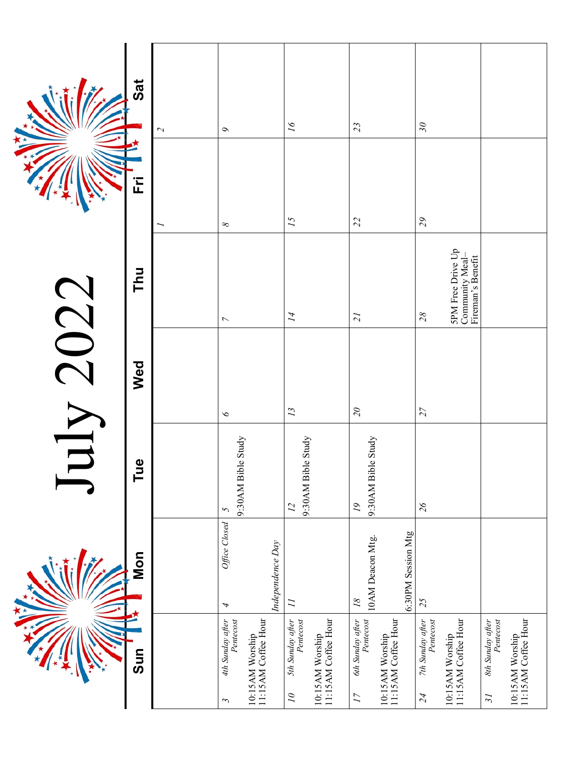|      | $\overline{a}$<br>Ë           | $\mathcal{L}$ | $\sigma$                                                                          | $\tilde{q}$                                                                                         | 23                                                                                         | $\overline{\mathcal{S}}$                                                      |                                                                                                     |
|------|-------------------------------|---------------|-----------------------------------------------------------------------------------|-----------------------------------------------------------------------------------------------------|--------------------------------------------------------------------------------------------|-------------------------------------------------------------------------------|-----------------------------------------------------------------------------------------------------|
|      |                               |               | $\infty$                                                                          | 15                                                                                                  | 22                                                                                         | $\mathfrak{S}$                                                                |                                                                                                     |
|      | Thu                           |               | $\overline{\phantom{a}}$                                                          | $\overline{14}$                                                                                     | $\overline{z}$                                                                             | <b>SPM</b> Free Drive Up<br>Community Meal-<br>Fireman's Benefit<br>28        |                                                                                                     |
| 2022 | Wed                           |               | $\infty$                                                                          | $\overline{13}$                                                                                     | $\mathcal{Q}$                                                                              | $\overline{27}$                                                               |                                                                                                     |
|      | $\mathbf{\underline{o}}$<br>ᄅ |               | 9:30AM Bible Study<br>$\mathcal{L}$                                               | 9:30AM Bible Study<br>$\overline{L}$                                                                | 9:30AM Bible Study<br>$\overline{\mathfrak{l}}$                                            | $\mathcal{Z}6$                                                                |                                                                                                     |
|      | Mon                           |               | Office Closed<br>Independence Day<br>4                                            | $\overline{L}$                                                                                      | 6:30PM Session Mtg<br>10AM Deacon Mtg.<br>$\sqrt{8}$                                       | 25                                                                            |                                                                                                     |
|      | Sun                           |               | 10:15AM Worship<br>11:15AM Coffee Hour<br>4th Sunday after<br>Pentecost<br>$\sim$ | 10:15AM Worship<br>11:15AM Coffee Hour<br>5th Sunday after<br>Pentecost<br>$\overline{\mathcal{L}}$ | 6th Sunday after<br>Pentecost<br>10:15AM Worship<br>11:15AM Coffee Hour<br>$\overline{17}$ | 7th Sunday after<br>Pentecost<br>11:15AM Coffee Hour<br>10:15AM Worship<br>24 | 10:15AM Worship<br>11:15AM Coffee Hour<br>8th Sunday after<br>Pentecost<br>$\overline{\mathcal{E}}$ |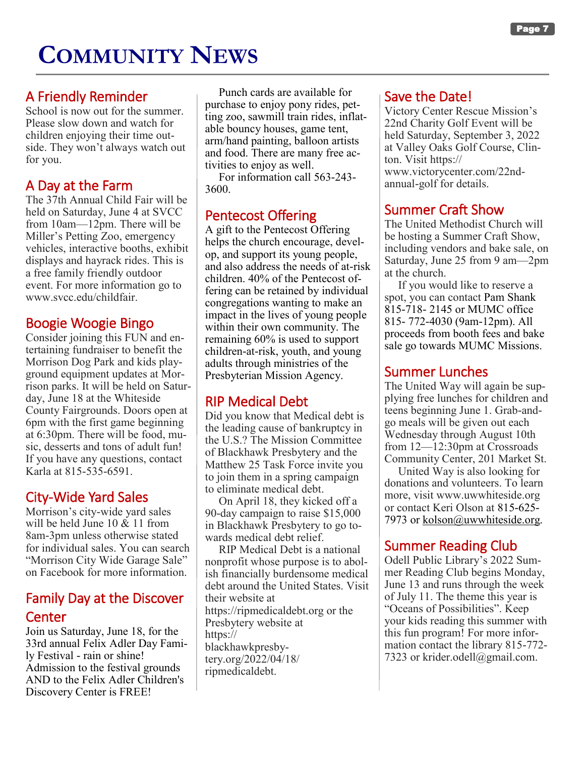## **COMMUNITY NEWS**

#### A Friendly Reminder

School is now out for the summer. Please slow down and watch for children enjoying their time outside. They won't always watch out for you.

#### A Day at the Farm

The 37th Annual Child Fair will be held on Saturday, June 4 at SVCC from 10am—12pm. There will be Miller's Petting Zoo, emergency vehicles, interactive booths, exhibit displays and hayrack rides. This is a free family friendly outdoor event. For more information go to www.svcc.edu/childfair.

#### Boogie Woogie Bingo

Consider joining this FUN and entertaining fundraiser to benefit the Morrison Dog Park and kids playground equipment updates at Morrison parks. It will be held on Saturday, June 18 at the Whiteside County Fairgrounds. Doors open at 6pm with the first game beginning at 6:30pm. There will be food, music, desserts and tons of adult fun! If you have any questions, contact Karla at 815-535-6591.

#### City-Wide Yard Sales

Morrison's city-wide yard sales will be held June 10 & 11 from 8am-3pm unless otherwise stated for individual sales. You can search "Morrison City Wide Garage Sale" on Facebook for more information.

#### Family Day at the Discover **Center**

Join us Saturday, June 18, for the 33rd annual Felix Adler Day Family Festival - rain or shine! Admission to the festival grounds AND to the Felix Adler Children's Discovery Center is FREE!

Punch cards are available for purchase to enjoy pony rides, petting zoo, sawmill train rides, inflatable bouncy houses, game tent, arm/hand painting, balloon artists and food. There are many free activities to enjoy as well.

For information call 563-243- 3600.

#### Pentecost Offering

A gift to the Pentecost Offering helps the church encourage, develop, and support its young people, and also address the needs of at-risk children. 40% of the Pentecost offering can be retained by individual congregations wanting to make an impact in the lives of young people within their own community. The remaining 60% is used to support children-at-risk, youth, and young adults through ministries of the Presbyterian Mission Agency.

#### RIP Medical Debt

Did you know that Medical debt is the leading cause of bankruptcy in the U.S.? The Mission Committee of Blackhawk Presbytery and the Matthew 25 Task Force invite you to join them in a spring campaign to eliminate medical debt.

On April 18, they kicked off a 90-day campaign to raise \$15,000 in Blackhawk Presbytery to go towards medical debt relief.

RIP Medical Debt is a national nonprofit whose purpose is to abolish financially burdensome medical debt around the United States. Visit their website at https://ripmedicaldebt.org or the Presbytery website at https:// blackhawkpresbytery.org/2022/04/18/ ripmedicaldebt.

#### Save the Date!

Victory Center Rescue Mission's 22nd Charity Golf Event will be held Saturday, September 3, 2022 at Valley Oaks Golf Course, Clinton. Visit https:// www.victorycenter.com/22ndannual-golf for details.

#### Summer Craft Show

The United Methodist Church will be hosting a Summer Craft Show, including vendors and bake sale, on Saturday, June 25 from 9 am—2pm at the church.

If you would like to reserve a spot, you can contact Pam Shank 815-718- 2145 or MUMC office 815- 772-4030 (9am-12pm). All proceeds from booth fees and bake sale go towards MUMC Missions.

#### Summer Lunches

The United Way will again be supplying free lunches for children and teens beginning June 1. Grab-andgo meals will be given out each Wednesday through August 10th from 12—12:30pm at Crossroads Community Center, 201 Market St.

United Way is also looking for donations and volunteers. To learn more, visit www.uwwhiteside.org or contact Keri Olson at 815-625- 7973 or [kolson@uwwhiteside.org.](mailto:kolson@uwwhiteside.org)

#### Summer Reading Club

Odell Public Library's 2022 Summer Reading Club begins Monday, June 13 and runs through the week of July 11. The theme this year is "Oceans of Possibilities". Keep your kids reading this summer with this fun program! For more information contact the library 815-772- 7323 or krider.odell@gmail.com.